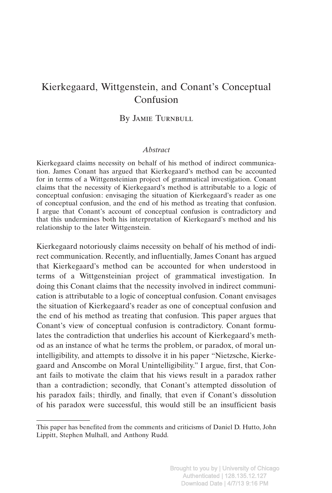# Kierkegaard, Wittgenstein, and Conant's Conceptual Confusion

# By JAMIE TURNBULL

### Abstract

Kierkegaard claims necessity on behalf of his method of indirect communication. James Conant has argued that Kierkegaard's method can be accounted for in terms of a Wittgensteinian project of grammatical investigation. Conant claims that the necessity of Kierkegaard's method is attributable to a logic of conceptual confusion: envisaging the situation of Kierkegaard's reader as one of conceptual confusion, and the end of his method as treating that confusion. I argue that Conant's account of conceptual confusion is contradictory and that this undermines both his interpretation of Kierkegaard's method and his relationship to the later Wittgenstein.

Kierkegaard notoriously claims necessity on behalf of his method of indirect communication. Recently, and influentially, James Conant has argued that Kierkegaard's method can be accounted for when understood in terms of a Wittgensteinian project of grammatical investigation. In doing this Conant claims that the necessity involved in indirect communication is attributable to a logic of conceptual confusion. Conant envisages the situation of Kierkegaard's reader as one of conceptual confusion and the end of his method as treating that confusion. This paper argues that Conant's view of conceptual confusion is contradictory. Conant formulates the contradiction that underlies his account of Kierkegaard's method as an instance of what he terms the problem, or paradox, of moral unintelligibility, and attempts to dissolve it in his paper "Nietzsche, Kierkegaard and Anscombe on Moral Unintelligibility." I argue, first, that Conant fails to motivate the claim that his views result in a paradox rather than a contradiction; secondly, that Conant's attempted dissolution of his paradox fails; thirdly, and finally, that even if Conant's dissolution of his paradox were successful, this would still be an insufficient basis

This paper has benefited from the comments and criticisms of Daniel D. Hutto, John Lippitt, Stephen Mulhall, and Anthony Rudd.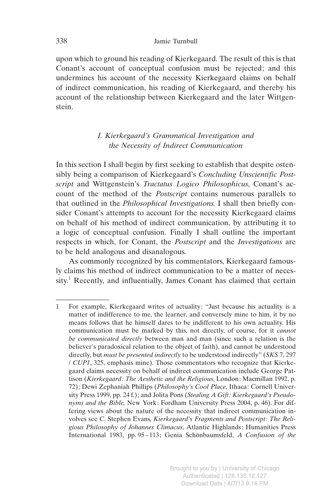upon which to ground his reading of Kierkegaard. The result of this is that Conant's account of conceptual confusion must be rejected; and this undermines his account of the necessity Kierkegaard claims on behalf of indirect communication, his reading of Kierkegaard, and thereby his account of the relationship between Kierkegaard and the later Wittgenstein.

## I. Kierkegaard's Grammatical Investigation and the Necessity of Indirect Communication

In this section I shall begin by first seeking to establish that despite ostensibly being a comparison of Kierkegaard's Concluding Unscientific Postscript and Wittgenstein's Tractatus Logico Philosophicus, Conant's account of the method of the Postscript contains numerous parallels to that outlined in the Philosophical Investigations. I shall then briefly consider Conant's attempts to account for the necessity Kierkegaard claims on behalf of his method of indirect communication, by attributing it to a logic of conceptual confusion. Finally I shall outline the important respects in which, for Conant, the Postscript and the Investigations are to be held analogous and disanalogous.

As commonly recognized by his commentators, Kierkegaard famously claims his method of indirect communication to be a matter of necessity.<sup>1</sup> Recently, and influentially, James Conant has claimed that certain

<sup>1</sup> For example, Kierkegaard writes of actuality: "Just because his actuality is a matter of indifference to me, the learner, and conversely mine to him, it by no means follows that he himself dares to be indifferent to his own actuality. His communication must be marked by this, not directly, of course, for it cannot be communicated directly between man and man (since such a relation is the believer's paradoxical relation to the object of faith), and cannot be understood directly, but must be presented indirectly to be understood indirectly" (SKS 7, 297 / CUP1, 325, emphasis mine). Those commentators who recognize that Kierkegaard claims necessity on behalf of indirect communication include George Pattison (Kierkegaard: The Aesthetic and the Religious, London: Macmillan 1992, p. 72); Dewi Zephaniah Phillips (Philosophy's Cool Place, Ithaca: Cornell University Press 1999, pp. 24 f.); and Jolita Pons (Stealing A Gift: Kierkegaard's Pseudonyms and the Bible, New York: Fordham University Press 2004, p. 46). For differing views about the nature of the necessity that indirect communication involves see C. Stephen Evans, Kierkegaard's Fragments and Postscript: The Religious Philosophy of Johannes Climacus, Atlantic Highlands: Humanities Press International 1983, pp. 95-113; Genia Schönbaumsfeld, A Confusion of the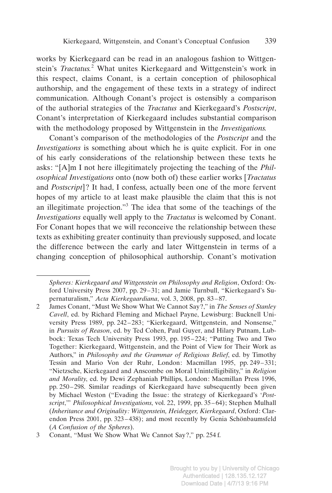works by Kierkegaard can be read in an analogous fashion to Wittgenstein's Tractatus.<sup>2</sup> What unites Kierkegaard and Wittgenstein's work in this respect, claims Conant, is a certain conception of philosophical authorship, and the engagement of these texts in a strategy of indirect communication. Although Conant's project is ostensibly a comparison of the authorial strategies of the Tractatus and Kierkegaard's Postscript, Conant's interpretation of Kierkegaard includes substantial comparison with the methodology proposed by Wittgenstein in the *Investigations*.

Conant's comparison of the methodologies of the *Postscript* and the Investigations is something about which he is quite explicit. For in one of his early considerations of the relationship between these texts he asks: "[A]m I not here illegitimately projecting the teaching of the Philosophical Investigations onto (now both of) these earlier works [Tractatus and Postscript]? It had, I confess, actually been one of the more fervent hopes of my article to at least make plausible the claim that this is not an illegitimate projection."<sup>3</sup> The idea that some of the teachings of the Investigations equally well apply to the Tractatus is welcomed by Conant. For Conant hopes that we will reconceive the relationship between these texts as exhibiting greater continuity than previously supposed, and locate the difference between the early and later Wittgenstein in terms of a changing conception of philosophical authorship. Conant's motivation

Spheres: Kierkegaard and Wittgenstein on Philosophy and Religion, Oxford: Oxford University Press 2007, pp. 29–31; and Jamie Turnbull, "Kierkegaard's Supernaturalism," Acta Kierkegaardiana, vol. 3, 2008, pp. 83 – 87.

<sup>2</sup> James Conant, "Must We Show What We Cannot Say?," in The Senses of Stanley Cavell, ed. by Richard Fleming and Michael Payne, Lewisburg: Bucknell University Press 1989, pp. 242 – 283; "Kierkegaard, Wittgenstein, and Nonsense," in Pursuits of Reason, ed. by Ted Cohen, Paul Guyer, and Hilary Putnam, Lubbock: Texas Tech University Press 1993, pp. 195 – 224; "Putting Two and Two Together: Kierkegaard, Wittgenstein, and the Point of View for Their Work as Authors," in Philosophy and the Grammar of Religious Belief, ed. by Timothy Tessin and Mario Von der Ruhr, London: Macmillan 1995, pp. 249–331; "Nietzsche, Kierkegaard and Anscombe on Moral Unintelligibility," in Religion and Morality, ed. by Dewi Zephaniah Phillips, London: Macmillan Press 1996, pp. 250 – 298. Similar readings of Kierkegaard have subsequently been given by Michael Weston ("Evading the Issue: the strategy of Kierkegaard's 'Postscript," Philosophical Investigations, vol. 22, 1999, pp. 35-64); Stephen Mulhall (Inheritance and Originality: Wittgenstein, Heidegger, Kierkegaard, Oxford: Clarendon Press 2001, pp. 323-438); and most recently by Genia Schönbaumsfeld (A Confusion of the Spheres).

<sup>3</sup> Conant, "Must We Show What We Cannot Say?," pp. 254 f.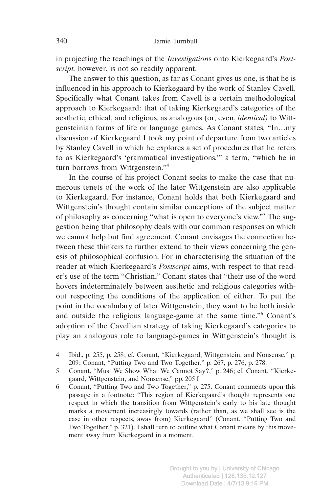in projecting the teachings of the *Investigations* onto Kierkegaard's *Post*script, however, is not so readily apparent.

The answer to this question, as far as Conant gives us one, is that he is influenced in his approach to Kierkegaard by the work of Stanley Cavell. Specifically what Conant takes from Cavell is a certain methodological approach to Kierkegaard: that of taking Kierkegaard's categories of the aesthetic, ethical, and religious, as analogous (or, even, identical) to Wittgensteinian forms of life or language games. As Conant states, "In…my discussion of Kierkegaard I took my point of departure from two articles by Stanley Cavell in which he explores a set of procedures that he refers to as Kierkegaard's 'grammatical investigations," a term, "which he in turn borrows from Wittgenstein."<sup>4</sup>

In the course of his project Conant seeks to make the case that numerous tenets of the work of the later Wittgenstein are also applicable to Kierkegaard. For instance, Conant holds that both Kierkegaard and Wittgenstein's thought contain similar conceptions of the subject matter of philosophy as concerning "what is open to everyone's view."<sup>5</sup> The suggestion being that philosophy deals with our common responses on which we cannot help but find agreement. Conant envisages the connection between these thinkers to further extend to their views concerning the genesis of philosophical confusion. For in characterising the situation of the reader at which Kierkegaard's *Postscript* aims, with respect to that reader's use of the term "Christian," Conant states that "their use of the word hovers indeterminately between aesthetic and religious categories without respecting the conditions of the application of either. To put the point in the vocabulary of later Wittgenstein, they want to be both inside and outside the religious language-game at the same time."<sup>6</sup> Conant's adoption of the Cavellian strategy of taking Kierkegaard's categories to play an analogous role to language-games in Wittgenstein's thought is

<sup>4</sup> Ibid., p. 255, p. 258; cf. Conant, "Kierkegaard, Wittgenstein, and Nonsense," p. 209; Conant, "Putting Two and Two Together," p. 267, p. 276, p. 278.

<sup>5</sup> Conant, "Must We Show What We Cannot Say?," p. 246; cf. Conant, "Kierkegaard, Wittgenstein, and Nonsense," pp. 205 f.

<sup>6</sup> Conant, "Putting Two and Two Together," p. 275. Conant comments upon this passage in a footnote: "This region of Kierkegaard's thought represents one respect in which the transition from Wittgenstein's early to his late thought marks a movement increasingly towards (rather than, as we shall see is the case in other respects, away from) Kierkegaard" (Conant, "Putting Two and Two Together," p. 321). I shall turn to outline what Conant means by this movement away from Kierkegaard in a moment.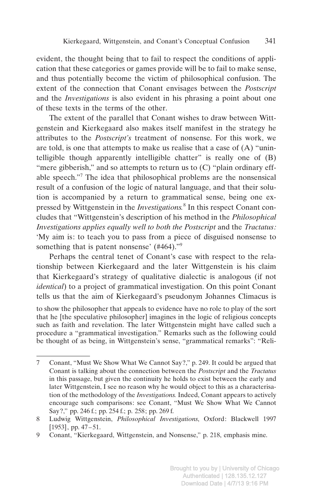evident, the thought being that to fail to respect the conditions of application that these categories or games provide will be to fail to make sense, and thus potentially become the victim of philosophical confusion. The extent of the connection that Conant envisages between the Postscript and the Investigations is also evident in his phrasing a point about one of these texts in the terms of the other.

The extent of the parallel that Conant wishes to draw between Wittgenstein and Kierkegaard also makes itself manifest in the strategy he attributes to the *Postscript's* treatment of nonsense. For this work, we are told, is one that attempts to make us realise that a case of (A) "unintelligible though apparently intelligible chatter" is really one of (B) "mere gibberish," and so attempts to return us to  $(C)$  "plain ordinary effable speech."<sup>7</sup> The idea that philosophical problems are the nonsensical result of a confusion of the logic of natural language, and that their solution is accompanied by a return to grammatical sense, being one expressed by Wittgenstein in the *Investigations*.<sup>8</sup> In this respect Conant concludes that "Wittgenstein's description of his method in the *Philosophical* Investigations applies equally well to both the Postscript and the Tractatus: "My aim is: to teach you to pass from a piece of disguised nonsense to something that is patent nonsense'  $(+464)$ ."<sup>9</sup>

Perhaps the central tenet of Conant's case with respect to the relationship between Kierkegaard and the later Wittgenstein is his claim that Kierkegaard's strategy of qualitative dialectic is analogous (if not identical) to a project of grammatical investigation. On this point Conant tells us that the aim of Kierkegaard's pseudonym Johannes Climacus is

to show the philosopher that appeals to evidence have no role to play of the sort that he [the speculative philosopher] imagines in the logic of religious concepts such as faith and revelation. The later Wittgenstein might have called such a procedure a "grammatical investigation." Remarks such as the following could be thought of as being, in Wittgenstein's sense, "grammatical remarks": "Reli-

<sup>7</sup> Conant, "Must We Show What We Cannot Say?," p. 249. It could be argued that Conant is talking about the connection between the Postscript and the Tractatus in this passage, but given the continuity he holds to exist between the early and later Wittgenstein, I see no reason why he would object to this as a characterisation of the methodology of the Investigations. Indeed, Conant appears to actively encourage such comparisons: see Conant, "Must We Show What We Cannot Say?," pp. 246 f.; pp. 254 f.; p. 258; pp. 269 f.

<sup>8</sup> Ludwig Wittgenstein, Philosophical Investigations, Oxford: Blackwell 1997  $[1953]$ , pp. 47-51.

<sup>9</sup> Conant, "Kierkegaard, Wittgenstein, and Nonsense," p. 218, emphasis mine.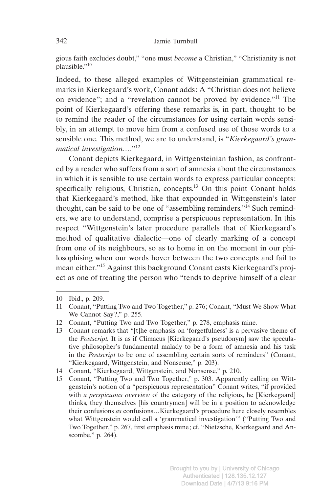#### 342 Jamie Turnbull

gious faith excludes doubt," "one must become a Christian," "Christianity is not plausible."10

Indeed, to these alleged examples of Wittgensteinian grammatical remarks in Kierkegaard's work, Conant adds: A "Christian does not believe on evidence"; and a "revelation cannot be proved by evidence."<sup>11</sup> The point of Kierkegaard's offering these remarks is, in part, thought to be to remind the reader of the circumstances for using certain words sensibly, in an attempt to move him from a confused use of those words to a sensible one. This method, we are to understand, is "Kierkegaard's grammatical investigation…."<sup>12</sup>

Conant depicts Kierkegaard, in Wittgensteinian fashion, as confronted by a reader who suffers from a sort of amnesia about the circumstances in which it is sensible to use certain words to express particular concepts: specifically religious, Christian, concepts. $13$  On this point Conant holds that Kierkegaard's method, like that expounded in Wittgenstein's later thought, can be said to be one of "assembling reminders."<sup>14</sup> Such reminders, we are to understand, comprise a perspicuous representation. In this respect "Wittgenstein's later procedure parallels that of Kierkegaard's method of qualitative dialectic—one of clearly marking of a concept from one of its neighbours, so as to home in on the moment in our philosophising when our words hover between the two concepts and fail to mean either."<sup>15</sup> Against this background Conant casts Kierkegaard's project as one of treating the person who "tends to deprive himself of a clear

<sup>10</sup> Ibid., p. 209.

<sup>11</sup> Conant, "Putting Two and Two Together," p. 276; Conant, "Must We Show What We Cannot Say?," p. 255.

<sup>12</sup> Conant, "Putting Two and Two Together," p. 278, emphasis mine.

<sup>13</sup> Conant remarks that "[t]he emphasis on 'forgetfulness' is a pervasive theme of the *Postscript*. It is as if Climacus [Kierkegaard's pseudonym] saw the speculative philosopher's fundamental malady to be a form of amnesia and his task in the Postscript to be one of assembling certain sorts of reminders" (Conant, "Kierkegaard, Wittgenstein, and Nonsense," p. 203).

<sup>14</sup> Conant, "Kierkegaard, Wittgenstein, and Nonsense," p. 210.

<sup>15</sup> Conant, "Putting Two and Two Together," p. 303. Apparently calling on Wittgenstein's notion of a "perspicuous representation" Conant writes, "if provided with a perspicuous overview of the category of the religious, he [Kierkegaard] thinks, they themselves [his countrymen] will be in a position to acknowledge their confusions as confusions...Kierkegaard's procedure here closely resembles what Wittgenstein would call a 'grammatical investigation'" ("Putting Two and Two Together," p. 267, first emphasis mine; cf. "Nietzsche, Kierkegaard and Anscombe," p. 264).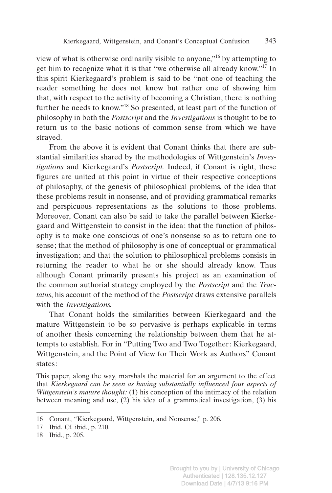view of what is otherwise ordinarily visible to anyone,"<sup>16</sup> by attempting to get him to recognize what it is that "we otherwise all already know."<sup>17</sup> In this spirit Kierkegaard's problem is said to be "not one of teaching the reader something he does not know but rather one of showing him that, with respect to the activity of becoming a Christian, there is nothing further he needs to know."<sup>18</sup> So presented, at least part of the function of philosophy in both the Postscript and the Investigations is thought to be to return us to the basic notions of common sense from which we have strayed.

From the above it is evident that Conant thinks that there are substantial similarities shared by the methodologies of Wittgenstein's *Inves*tigations and Kierkegaard's *Postscript*. Indeed, if Conant is right, these figures are united at this point in virtue of their respective conceptions of philosophy, of the genesis of philosophical problems, of the idea that these problems result in nonsense, and of providing grammatical remarks and perspicuous representations as the solutions to those problems. Moreover, Conant can also be said to take the parallel between Kierkegaard and Wittgenstein to consist in the idea: that the function of philosophy is to make one conscious of one's nonsense so as to return one to sense; that the method of philosophy is one of conceptual or grammatical investigation; and that the solution to philosophical problems consists in returning the reader to what he or she should already know. Thus although Conant primarily presents his project as an examination of the common authorial strategy employed by the Postscript and the Tractatus, his account of the method of the Postscript draws extensive parallels with the *Investigations*.

That Conant holds the similarities between Kierkegaard and the mature Wittgenstein to be so pervasive is perhaps explicable in terms of another thesis concerning the relationship between them that he attempts to establish. For in "Putting Two and Two Together: Kierkegaard, Wittgenstein, and the Point of View for Their Work as Authors" Conant states:

This paper, along the way, marshals the material for an argument to the effect that Kierkegaard can be seen as having substantially influenced four aspects of Wittgenstein's mature thought:  $(1)$  his conception of the intimacy of the relation between meaning and use, (2) his idea of a grammatical investigation, (3) his

<sup>16</sup> Conant, "Kierkegaard, Wittgenstein, and Nonsense," p. 206.

<sup>17</sup> Ibid. Cf. ibid., p. 210.

<sup>18</sup> Ibid., p. 205.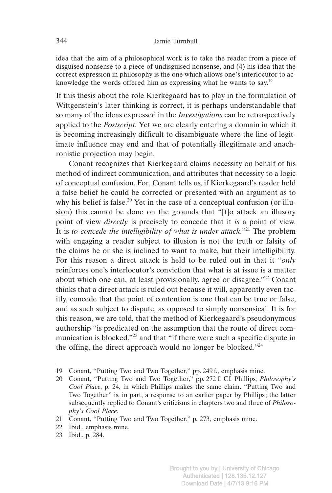#### 344 Jamie Turnbull

idea that the aim of a philosophical work is to take the reader from a piece of disguised nonsense to a piece of undisguised nonsense, and (4) his idea that the correct expression in philosophy is the one which allows one's interlocutor to acknowledge the words offered him as expressing what he wants to say.19

If this thesis about the role Kierkegaard has to play in the formulation of Wittgenstein's later thinking is correct, it is perhaps understandable that so many of the ideas expressed in the Investigations can be retrospectively applied to the Postscript. Yet we are clearly entering a domain in which it is becoming increasingly difficult to disambiguate where the line of legitimate influence may end and that of potentially illegitimate and anachronistic projection may begin.

Conant recognizes that Kierkegaard claims necessity on behalf of his method of indirect communication, and attributes that necessity to a logic of conceptual confusion. For, Conant tells us, if Kierkegaard's reader held a false belief he could be corrected or presented with an argument as to why his belief is false.<sup>20</sup> Yet in the case of a conceptual confusion (or illusion) this cannot be done on the grounds that "[t]o attack an illusory point of view directly is precisely to concede that it is a point of view. It is to concede the intelligibility of what is under attack."<sup>21</sup> The problem with engaging a reader subject to illusion is not the truth or falsity of the claims he or she is inclined to want to make, but their intelligibility. For this reason a direct attack is held to be ruled out in that it "*only* reinforces one's interlocutor's conviction that what is at issue is a matter about which one can, at least provisionally, agree or disagree."<sup>22</sup> Conant thinks that a direct attack is ruled out because it will, apparently even tacitly, concede that the point of contention is one that can be true or false, and as such subject to dispute, as opposed to simply nonsensical. It is for this reason, we are told, that the method of Kierkegaard's pseudonymous authorship "is predicated on the assumption that the route of direct communication is blocked,"<sup>23</sup> and that "if there were such a specific dispute in the offing, the direct approach would no longer be blocked."<sup>24</sup>

<sup>19</sup> Conant, "Putting Two and Two Together," pp. 249 f., emphasis mine.

<sup>20</sup> Conant, "Putting Two and Two Together," pp. 272 f. Cf. Phillips, Philosophy's Cool Place, p. 24, in which Phillips makes the same claim. "Putting Two and Two Together" is, in part, a response to an earlier paper by Phillips; the latter subsequently replied to Conant's criticisms in chapters two and three of *Philoso*phy's Cool Place.

<sup>21</sup> Conant, "Putting Two and Two Together," p. 273, emphasis mine.

<sup>22</sup> Ibid., emphasis mine.

<sup>23</sup> Ibid., p. 284.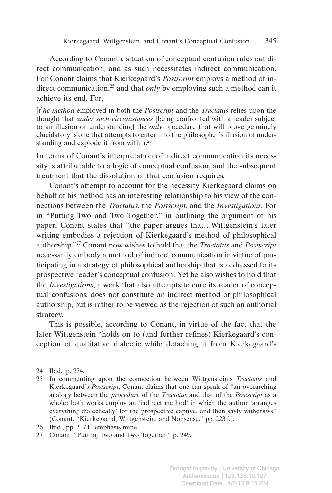According to Conant a situation of conceptual confusion rules out direct communication, and as such necessitates indirect communication. For Conant claims that Kierkegaard's *Postscript* employs a method of indirect communication.<sup>25</sup> and that *only* by employing such a method can it achieve its end. For,

[t]he method employed in both the *Postscript* and the *Tractatus* relies upon the thought that under such circumstances [being confronted with a reader subject to an illusion of understanding] the only procedure that will prove genuinely elucidatory is one that attempts to enter into the philosopher's illusion of understanding and explode it from within.26

In terms of Conant's interpretation of indirect communication its necessity is attributable to a logic of conceptual confusion, and the subsequent treatment that the dissolution of that confusion requires.

Conant's attempt to account for the necessity Kierkegaard claims on behalf of his method has an interesting relationship to his view of the connections between the Tractatus, the Postscript, and the Investigations. For in "Putting Two and Two Together," in outlining the argument of his paper, Conant states that "the paper argues that...Wittgenstein's later writing embodies a rejection of Kierkegaard's method of philosophical authorship."<sup>27</sup> Conant now wishes to hold that the Tractatus and Postscript necessarily embody a method of indirect communication in virtue of participating in a strategy of philosophical authorship that is addressed to its prospective reader's conceptual confusion. Yet he also wishes to hold that the Investigations, a work that also attempts to cure its reader of conceptual confusions, does not constitute an indirect method of philosophical authorship, but is rather to be viewed as the rejection of such an authorial strategy.

This is possible, according to Conant, in virtue of the fact that the later Wittgenstein "holds on to (and further refines) Kierkegaard's conception of qualitative dialectic while detaching it from Kierkegaard's

<sup>24</sup> Ibid., p. 274.

<sup>25</sup> In commenting upon the connection between Wittgenstein's Tractatus and Kierkegaard's *Postscript*, Conant claims that one can speak of "an overarching analogy between the procedure of the Tractatus and that of the Postscript as a whole; both works employ an 'indirect method' in which the author 'arranges everything dialectically' for the prospective captive, and then shyly withdraws" (Conant, "Kierkegaard, Wittgenstein, and Nonsense," pp. 223 f.).

<sup>26</sup> Ibid., pp. 217 f., emphasis mine.

<sup>27</sup> Conant, "Putting Two and Two Together," p. 249.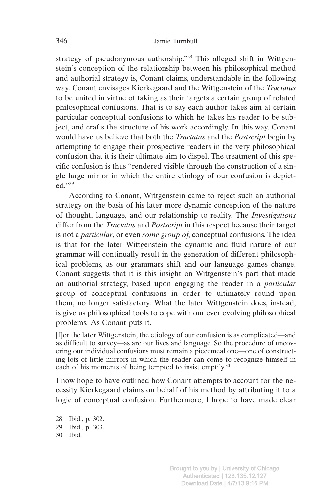strategy of pseudonymous authorship."<sup>28</sup> This alleged shift in Wittgenstein's conception of the relationship between his philosophical method and authorial strategy is, Conant claims, understandable in the following way. Conant envisages Kierkegaard and the Wittgenstein of the Tractatus to be united in virtue of taking as their targets a certain group of related philosophical confusions. That is to say each author takes aim at certain particular conceptual confusions to which he takes his reader to be subject, and crafts the structure of his work accordingly. In this way, Conant would have us believe that both the *Tractatus* and the *Postscript* begin by attempting to engage their prospective readers in the very philosophical confusion that it is their ultimate aim to dispel. The treatment of this specific confusion is thus "rendered visible through the construction of a single large mirror in which the entire etiology of our confusion is depicted<sup>"29</sup>

According to Conant, Wittgenstein came to reject such an authorial strategy on the basis of his later more dynamic conception of the nature of thought, language, and our relationship to reality. The Investigations differ from the Tractatus and Postscript in this respect because their target is not a particular, or even some group of, conceptual confusions. The idea is that for the later Wittgenstein the dynamic and fluid nature of our grammar will continually result in the generation of different philosophical problems, as our grammars shift and our language games change. Conant suggests that it is this insight on Wittgenstein's part that made an authorial strategy, based upon engaging the reader in a particular group of conceptual confusions in order to ultimately round upon them, no longer satisfactory. What the later Wittgenstein does, instead, is give us philosophical tools to cope with our ever evolving philosophical problems. As Conant puts it,

[f]or the later Wittgenstein, the etiology of our confusion is as complicated—and as difficult to survey—as are our lives and language. So the procedure of uncovering our individual confusions must remain a piecemeal one—one of constructing lots of little mirrors in which the reader can come to recognize himself in each of his moments of being tempted to insist emptily.<sup>30</sup>

I now hope to have outlined how Conant attempts to account for the necessity Kierkegaard claims on behalf of his method by attributing it to a logic of conceptual confusion. Furthermore, I hope to have made clear

<sup>28</sup> Ibid., p. 302.

<sup>29</sup> Ibid., p. 303.

<sup>30</sup> Ibid.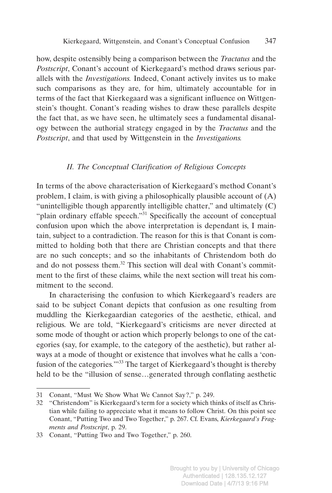how, despite ostensibly being a comparison between the Tractatus and the Postscript, Conant's account of Kierkegaard's method draws serious parallels with the Investigations. Indeed, Conant actively invites us to make such comparisons as they are, for him, ultimately accountable for in terms of the fact that Kierkegaard was a significant influence on Wittgenstein's thought. Conant's reading wishes to draw these parallels despite the fact that, as we have seen, he ultimately sees a fundamental disanalogy between the authorial strategy engaged in by the Tractatus and the Postscript, and that used by Wittgenstein in the Investigations.

## II. The Conceptual Clarification of Religious Concepts

In terms of the above characterisation of Kierkegaard's method Conant's problem, I claim, is with giving a philosophically plausible account of (A) "unintelligible though apparently intelligible chatter," and ultimately (C) "plain ordinary effable speech."<sup>31</sup> Specifically the account of conceptual confusion upon which the above interpretation is dependant is, I maintain, subject to a contradiction. The reason for this is that Conant is committed to holding both that there are Christian concepts and that there are no such concepts; and so the inhabitants of Christendom both do and do not possess them. $32$  This section will deal with Conant's commitment to the first of these claims, while the next section will treat his commitment to the second.

In characterising the confusion to which Kierkegaard's readers are said to be subject Conant depicts that confusion as one resulting from muddling the Kierkegaardian categories of the aesthetic, ethical, and religious. We are told, "Kierkegaard's criticisms are never directed at some mode of thought or action which properly belongs to one of the categories (say, for example, to the category of the aesthetic), but rather always at a mode of thought or existence that involves what he calls a "confusion of the categories. $133$  The target of Kierkegaard's thought is thereby held to be the "illusion of sense…generated through conflating aesthetic

<sup>31</sup> Conant, "Must We Show What We Cannot Say?," p. 249.

<sup>32 &</sup>quot;Christendom" is Kierkegaard's term for a society which thinks of itself as Christian while failing to appreciate what it means to follow Christ. On this point see Conant, "Putting Two and Two Together," p. 267. Cf. Evans, Kierkegaard's Fragments and Postscript, p. 29.

<sup>33</sup> Conant, "Putting Two and Two Together," p. 260.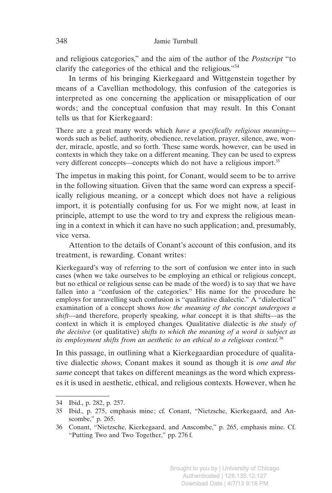and religious categories," and the aim of the author of the Postscript "to clarify the categories of the ethical and the religious."34

In terms of his bringing Kierkegaard and Wittgenstein together by means of a Cavellian methodology, this confusion of the categories is interpreted as one concerning the application or misapplication of our words; and the conceptual confusion that may result. In this Conant tells us that for Kierkegaard:

There are a great many words which *have a specifically religious meaning* words such as belief, authority, obedience, revelation, prayer, silence, awe, wonder, miracle, apostle, and so forth. These same words, however, can be used in contexts in which they take on a different meaning. They can be used to express very different concepts—concepts which do not have a religious import.35

The impetus in making this point, for Conant, would seem to be to arrive in the following situation. Given that the same word can express a specifically religious meaning, or a concept which does not have a religious import, it is potentially confusing for us. For we might now, at least in principle, attempt to use the word to try and express the religious meaning in a context in which it can have no such application; and, presumably, vice versa.

Attention to the details of Conant's account of this confusion, and its treatment, is rewarding. Conant writes:

Kierkegaard's way of referring to the sort of confusion we enter into in such cases (when we take ourselves to be employing an ethical or religious concept, but no ethical or religious sense can be made of the word) is to say that we have fallen into a "confusion of the categories." His name for the procedure he employs for unravelling such confusion is "qualitative dialectic." A "dialectical" examination of a concept shows how the meaning of the concept undergoes a shift—and therefore, properly speaking, what concept it is that shifts—as the context in which it is employed changes. Qualitative dialectic is the study of the decisive (or qualitative) shifts to which the meaning of a word is subject as its employment shifts from an aesthetic to an ethical to a religious context.<sup>36</sup>

In this passage, in outlining what a Kierkegaardian procedure of qualitative dialectic shows, Conant makes it sound as though it is one and the same concept that takes on different meanings as the word which expresses it is used in aesthetic, ethical, and religious contexts. However, when he

<sup>34</sup> Ibid., p. 282, p. 257.

<sup>35</sup> Ibid., p. 275, emphasis mine; cf. Conant, "Nietzsche, Kierkegaard, and Anscombe," p. 265.

<sup>36</sup> Conant, "Nietzsche, Kierkegaard, and Anscombe," p. 265, emphasis mine. Cf. "Putting Two and Two Together," pp. 276 f.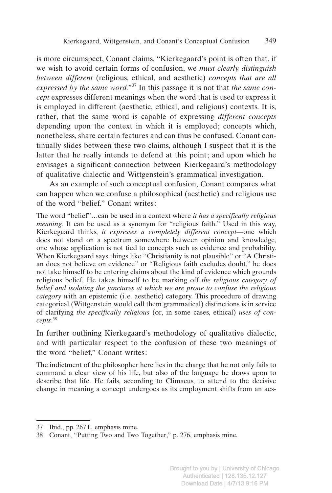is more circumspect, Conant claims, "Kierkegaard's point is often that, if we wish to avoid certain forms of confusion, we must clearly distinguish between different (religious, ethical, and aesthetic) concepts that are all expressed by the same word."<sup>37</sup> In this passage it is not that the same concept expresses different meanings when the word that is used to express it is employed in different (aesthetic, ethical, and religious) contexts. It is, rather, that the same word is capable of expressing different concepts depending upon the context in which it is employed; concepts which, nonetheless, share certain features and can thus be confused. Conant continually slides between these two claims, although I suspect that it is the latter that he really intends to defend at this point; and upon which he envisages a significant connection between Kierkegaard's methodology of qualitative dialectic and Wittgenstein's grammatical investigation.

As an example of such conceptual confusion, Conant compares what can happen when we confuse a philosophical (aesthetic) and religious use of the word "belief." Conant writes:

The word "belief"...can be used in a context where *it has a specifically religious* meaning. It can be used as a synonym for "religious faith." Used in this way, Kierkegaard thinks, it expresses a completely different concept—one which does not stand on a spectrum somewhere between opinion and knowledge, one whose application is not tied to concepts such as evidence and probability. When Kierkegaard says things like "Christianity is not plausible" or "A Christian does not believe on evidence" or "Religious faith excludes doubt," he does not take himself to be entering claims about the kind of evidence which grounds religious belief. He takes himself to be marking off the religious category of belief and isolating the junctures at which we are prone to confuse the religious category with an epistemic (i. e. aesthetic) category. This procedure of drawing categorical (Wittgenstein would call them grammatical) distinctions is in service of clarifying the specifically religious (or, in some cases, ethical) uses of concepts.<sup>38</sup>

In further outlining Kierkegaard's methodology of qualitative dialectic, and with particular respect to the confusion of these two meanings of the word "belief," Conant writes:

The indictment of the philosopher here lies in the charge that he not only fails to command a clear view of his life, but also of the language he draws upon to describe that life. He fails, according to Climacus, to attend to the decisive change in meaning a concept undergoes as its employment shifts from an aes-

<sup>37</sup> Ibid., pp. 267 f., emphasis mine.

<sup>38</sup> Conant, "Putting Two and Two Together," p. 276, emphasis mine.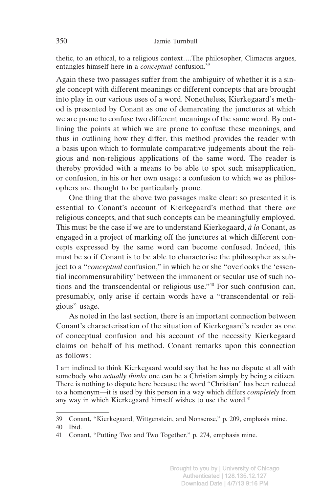thetic, to an ethical, to a religious context….The philosopher, Climacus argues, entangles himself here in a *conceptual* confusion.<sup>39</sup>

Again these two passages suffer from the ambiguity of whether it is a single concept with different meanings or different concepts that are brought into play in our various uses of a word. Nonetheless, Kierkegaard's method is presented by Conant as one of demarcating the junctures at which we are prone to confuse two different meanings of the same word. By outlining the points at which we are prone to confuse these meanings, and thus in outlining how they differ, this method provides the reader with a basis upon which to formulate comparative judgements about the religious and non-religious applications of the same word. The reader is thereby provided with a means to be able to spot such misapplication, or confusion, in his or her own usage: a confusion to which we as philosophers are thought to be particularly prone.

One thing that the above two passages make clear: so presented it is essential to Conant's account of Kierkegaard's method that there are religious concepts, and that such concepts can be meaningfully employed. This must be the case if we are to understand Kierkegaard,  $\hat{a}$  la Conant, as engaged in a project of marking off the junctures at which different concepts expressed by the same word can become confused. Indeed, this must be so if Conant is to be able to characterise the philosopher as subject to a "conceptual confusion," in which he or she "overlooks the "essential incommensurability' between the immanent or secular use of such notions and the transcendental or religious use."<sup>40</sup> For such confusion can, presumably, only arise if certain words have a "transcendental or religious" usage.

As noted in the last section, there is an important connection between Conant's characterisation of the situation of Kierkegaard's reader as one of conceptual confusion and his account of the necessity Kierkegaard claims on behalf of his method. Conant remarks upon this connection as follows:

I am inclined to think Kierkegaard would say that he has no dispute at all with somebody who actually thinks one can be a Christian simply by being a citizen. There is nothing to dispute here because the word "Christian" has been reduced to a homonym—it is used by this person in a way which differs completely from any way in which Kierkegaard himself wishes to use the word.<sup>41</sup>

<sup>39</sup> Conant, "Kierkegaard, Wittgenstein, and Nonsense," p. 209, emphasis mine. 40 Ibid.

<sup>41</sup> Conant, "Putting Two and Two Together," p. 274, emphasis mine.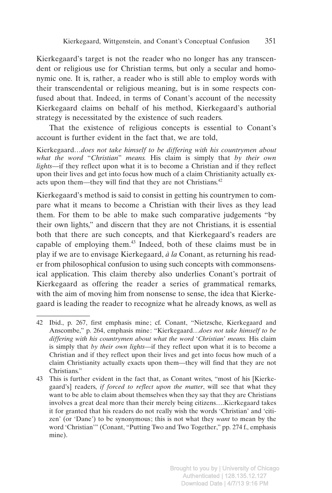Kierkegaard's target is not the reader who no longer has any transcendent or religious use for Christian terms, but only a secular and homonymic one. It is, rather, a reader who is still able to employ words with their transcendental or religious meaning, but is in some respects confused about that. Indeed, in terms of Conant's account of the necessity Kierkegaard claims on behalf of his method, Kierkegaard's authorial strategy is necessitated by the existence of such readers.

That the existence of religious concepts is essential to Conant's account is further evident in the fact that, we are told,

Kierkegaard…does not take himself to be differing with his countrymen about what the word "Christian" means. His claim is simply that by their own lights—if they reflect upon what it is to become a Christian and if they reflect upon their lives and get into focus how much of a claim Christianity actually exacts upon them—they will find that they are not Christians.<sup>42</sup>

Kierkegaard's method is said to consist in getting his countrymen to compare what it means to become a Christian with their lives as they lead them. For them to be able to make such comparative judgements "by their own lights," and discern that they are not Christians, it is essential both that there are such concepts, and that Kierkegaard's readers are capable of employing them.<sup>43</sup> Indeed, both of these claims must be in play if we are to envisage Kierkegaard,  $\dot{a}$  la Conant, as returning his reader from philosophical confusion to using such concepts with commonsensical application. This claim thereby also underlies Conant's portrait of Kierkegaard as offering the reader a series of grammatical remarks, with the aim of moving him from nonsense to sense, the idea that Kierkegaard is leading the reader to recognize what he already knows, as well as

<sup>42</sup> Ibid., p. 267, first emphasis mine; cf. Conant, "Nietzsche, Kierkegaard and Anscombe," p. 264, emphasis mine: "Kierkegaard…does not take himself to be differing with his countrymen about what the word 'Christian' means. His claim is simply that by their own lights—if they reflect upon what it is to become a Christian and if they reflect upon their lives and get into focus how much of a claim Christianity actually exacts upon them—they will find that they are not Christians."

<sup>43</sup> This is further evident in the fact that, as Conant writes, "most of his [Kierkegaard's] readers, if forced to reflect upon the matter, will see that what they want to be able to claim about themselves when they say that they are Christians involves a great deal more than their merely being citizens….Kierkegaard takes it for granted that his readers do not really wish the words 'Christian' and 'citizen' (or 'Dane') to be synonymous; this is not what they want to mean by the word 'Christian'" (Conant, "Putting Two and Two Together," pp. 274 f., emphasis mine).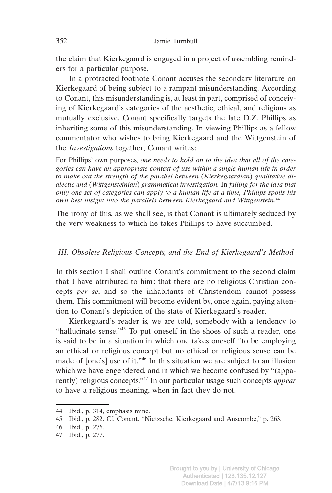the claim that Kierkegaard is engaged in a project of assembling reminders for a particular purpose.

In a protracted footnote Conant accuses the secondary literature on Kierkegaard of being subject to a rampant misunderstanding. According to Conant, this misunderstanding is, at least in part, comprised of conceiving of Kierkegaard's categories of the aesthetic, ethical, and religious as mutually exclusive. Conant specifically targets the late D.Z. Phillips as inheriting some of this misunderstanding. In viewing Phillips as a fellow commentator who wishes to bring Kierkegaard and the Wittgenstein of the Investigations together, Conant writes:

For Phillips' own purposes, one needs to hold on to the idea that all of the categories can have an appropriate context of use within a single human life in order to make out the strength of the parallel between (Kierkegaardian) qualitative dialectic and (Wittgensteinian) grammatical investigation. In falling for the idea that only one set of categories can apply to a human life at a time, Phillips spoils his own best insight into the parallels between Kierkegaard and Wittgenstein.<sup>44</sup>

The irony of this, as we shall see, is that Conant is ultimately seduced by the very weakness to which he takes Phillips to have succumbed.

## III. Obsolete Religious Concepts, and the End of Kierkegaard's Method

In this section I shall outline Conant's commitment to the second claim that I have attributed to him: that there are no religious Christian concepts per se, and so the inhabitants of Christendom cannot possess them. This commitment will become evident by, once again, paying attention to Conant's depiction of the state of Kierkegaard's reader.

Kierkegaard's reader is, we are told, somebody with a tendency to "hallucinate sense."<sup>45</sup> To put oneself in the shoes of such a reader, one is said to be in a situation in which one takes oneself "to be employing an ethical or religious concept but no ethical or religious sense can be made of [one's] use of it."<sup>46</sup> In this situation we are subject to an illusion which we have engendered, and in which we become confused by "(apparently) religious concepts."<sup>47</sup> In our particular usage such concepts *appear* to have a religious meaning, when in fact they do not.

<sup>44</sup> Ibid., p. 314, emphasis mine.

<sup>45</sup> Ibid., p. 282. Cf. Conant, "Nietzsche, Kierkegaard and Anscombe," p. 263.

<sup>46</sup> Ibid., p. 276.

<sup>47</sup> Ibid., p. 277.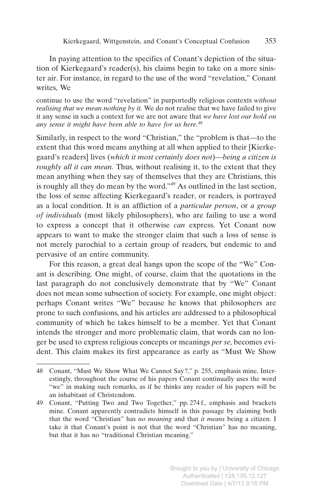In paying attention to the specifics of Conant's depiction of the situation of Kierkegaard's reader(s), his claims begin to take on a more sinister air. For instance, in regard to the use of the word "revelation," Conant writes, We

continue to use the word "revelation" in purportedly religious contexts without realising that we mean nothing by it. We do not realise that we have failed to give it any sense in such a context for we are not aware that we have lost our hold on any sense it might have been able to have for us here. $48$ 

Similarly, in respect to the word "Christian," the "problem is that—to the extent that this word means anything at all when applied to their [Kierkegaard's readers] lives (which it most certainly does not)—being a citizen is roughly all it can mean. Thus, without realising it, to the extent that they mean anything when they say of themselves that they are Christians, this is roughly all they do mean by the word."<sup>49</sup> As outlined in the last section, the loss of sense affecting Kierkegaard's reader, or readers, is portrayed as a local condition. It is an affliction of a particular person, or a group of individuals (most likely philosophers), who are failing to use a word to express a concept that it otherwise can express. Yet Conant now appears to want to make the stronger claim that such a loss of sense is not merely parochial to a certain group of readers, but endemic to and pervasive of an entire community.

For this reason, a great deal hangs upon the scope of the "We" Conant is describing. One might, of course, claim that the quotations in the last paragraph do not conclusively demonstrate that by "We" Conant does not mean some subsection of society. For example, one might object: perhaps Conant writes "We" because he knows that philosophers are prone to such confusions, and his articles are addressed to a philosophical community of which he takes himself to be a member. Yet that Conant intends the stronger and more problematic claim, that words can no longer be used to express religious concepts or meanings per se, becomes evident. This claim makes its first appearance as early as "Must We Show

<sup>48</sup> Conant, "Must We Show What We Cannot Say?," p. 255, emphasis mine. Interestingly, throughout the course of his papers Conant continually uses the word "we" in making such remarks, as if he thinks any reader of his papers will be an inhabitant of Christendom.

<sup>49</sup> Conant, "Putting Two and Two Together," pp. 274 f., emphasis and brackets mine. Conant apparently contradicts himself in this passage by claiming both that the word "Christian" has no meaning and that it means being a citizen. I take it that Conant's point is not that the word "Christian" has no meaning, but that it has no "traditional Christian meaning."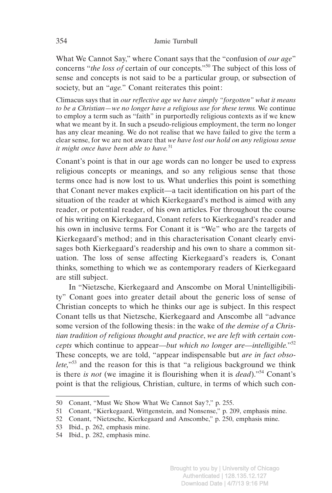What We Cannot Say," where Conant says that the "confusion of *our age*" concerns "the loss of certain of our concepts."<sup>50</sup> The subject of this loss of sense and concepts is not said to be a particular group, or subsection of society, but an "age." Conant reiterates this point:

Climacus says that in our reflective age we have simply "forgotten" what it means to be a Christian—we no longer have a religious use for these terms. We continue to employ a term such as "faith" in purportedly religious contexts as if we knew what we meant by it. In such a pseudo-religious employment, the term no longer has any clear meaning. We do not realise that we have failed to give the term a clear sense, for we are not aware that we have lost our hold on any religious sense it might once have been able to have.<sup>51</sup>

Conant's point is that in our age words can no longer be used to express religious concepts or meanings, and so any religious sense that those terms once had is now lost to us. What underlies this point is something that Conant never makes explicit—a tacit identification on his part of the situation of the reader at which Kierkegaard's method is aimed with any reader, or potential reader, of his own articles. For throughout the course of his writing on Kierkegaard, Conant refers to Kierkegaard's reader and his own in inclusive terms. For Conant it is "We" who are the targets of Kierkegaard's method; and in this characterisation Conant clearly envisages both Kierkegaard's readership and his own to share a common situation. The loss of sense affecting Kierkegaard's readers is, Conant thinks, something to which we as contemporary readers of Kierkegaard are still subject.

In "Nietzsche, Kierkegaard and Anscombe on Moral Unintelligibility" Conant goes into greater detail about the generic loss of sense of Christian concepts to which he thinks our age is subject. In this respect Conant tells us that Nietzsche, Kierkegaard and Anscombe all "advance some version of the following thesis: in the wake of the demise of a Christian tradition of religious thought and practice, we are left with certain concepts which continue to appear—but which no longer are—intelligible."<sup>52</sup> These concepts, we are told, "appear indispensable but *are in fact obso*lete,"<sup>53</sup> and the reason for this is that "a religious background we think is there is not (we imagine it is flourishing when it is  $dead)$ .<sup>54</sup> Conant's point is that the religious, Christian, culture, in terms of which such con-

Brought to you by | University of Chicago Authenticated | 128.135.12.127 Download Date | 4/7/13 9:16 PM

<sup>50</sup> Conant, "Must We Show What We Cannot Say?," p. 255.

<sup>51</sup> Conant, "Kierkegaard, Wittgenstein, and Nonsense," p. 209, emphasis mine.

<sup>52</sup> Conant, "Nietzsche, Kierkegaard and Anscombe," p. 250, emphasis mine.

<sup>53</sup> Ibid., p. 262, emphasis mine.

<sup>54</sup> Ibid., p. 282, emphasis mine.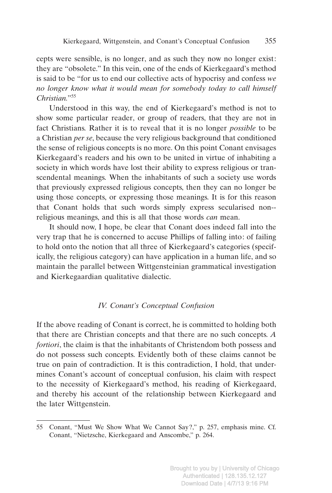cepts were sensible, is no longer, and as such they now no longer exist: they are "obsolete." In this vein, one of the ends of Kierkegaard's method is said to be "for us to end our collective acts of hypocrisy and confess we no longer know what it would mean for somebody today to call himself Christian<sup>"55</sup>

Understood in this way, the end of Kierkegaard's method is not to show some particular reader, or group of readers, that they are not in fact Christians. Rather it is to reveal that it is no longer possible to be a Christian per se, because the very religious background that conditioned the sense of religious concepts is no more. On this point Conant envisages Kierkegaard's readers and his own to be united in virtue of inhabiting a society in which words have lost their ability to express religious or transcendental meanings. When the inhabitants of such a society use words that previously expressed religious concepts, then they can no longer be using those concepts, or expressing those meanings. It is for this reason that Conant holds that such words simply express secularised non- religious meanings, and this is all that those words can mean.

It should now, I hope, be clear that Conant does indeed fall into the very trap that he is concerned to accuse Phillips of falling into: of failing to hold onto the notion that all three of Kierkegaard's categories (specifically, the religious category) can have application in a human life, and so maintain the parallel between Wittgensteinian grammatical investigation and Kierkegaardian qualitative dialectic.

#### IV. Conant's Conceptual Confusion

If the above reading of Conant is correct, he is committed to holding both that there are Christian concepts and that there are no such concepts. A fortiori, the claim is that the inhabitants of Christendom both possess and do not possess such concepts. Evidently both of these claims cannot be true on pain of contradiction. It is this contradiction, I hold, that undermines Conant's account of conceptual confusion, his claim with respect to the necessity of Kierkegaard's method, his reading of Kierkegaard, and thereby his account of the relationship between Kierkegaard and the later Wittgenstein.

<sup>55</sup> Conant, "Must We Show What We Cannot Say?," p. 257, emphasis mine. Cf. Conant, "Nietzsche, Kierkegaard and Anscombe," p. 264.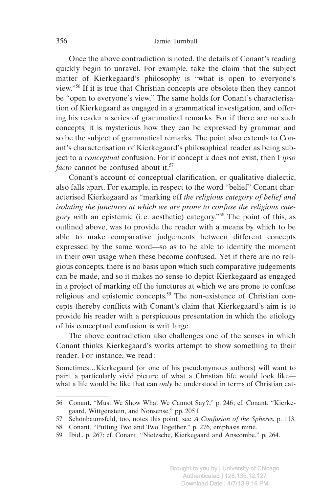#### 356 Jamie Turnbull

Once the above contradiction is noted, the details of Conant's reading quickly begin to unravel. For example, take the claim that the subject matter of Kierkegaard's philosophy is "what is open to everyone's view."<sup>56</sup> If it is true that Christian concepts are obsolete then they cannot be "open to everyone's view." The same holds for Conant's characterisation of Kierkegaard as engaged in a grammatical investigation, and offering his reader a series of grammatical remarks. For if there are no such concepts, it is mysterious how they can be expressed by grammar and so be the subject of grammatical remarks. The point also extends to Conant's characterisation of Kierkegaard's philosophical reader as being subject to a *conceptual* confusion. For if concept  $x$  does not exist, then I *ipso* facto cannot be confused about it. $57$ 

Conant's account of conceptual clarification, or qualitative dialectic, also falls apart. For example, in respect to the word "belief" Conant characterised Kierkegaard as "marking off the religious category of belief and isolating the junctures at which we are prone to confuse the religious category with an epistemic (i.e. aesthetic) category."<sup>58</sup> The point of this, as outlined above, was to provide the reader with a means by which to be able to make comparative judgements between different concepts expressed by the same word—so as to be able to identify the moment in their own usage when these become confused. Yet if there are no religious concepts, there is no basis upon which such comparative judgements can be made, and so it makes no sense to depict Kierkegaard as engaged in a project of marking off the junctures at which we are prone to confuse religious and epistemic concepts.59 The non-existence of Christian concepts thereby conflicts with Conant's claim that Kierkegaard's aim is to provide his reader with a perspicuous presentation in which the etiology of his conceptual confusion is writ large.

The above contradiction also challenges one of the senses in which Conant thinks Kierkegaard's works attempt to show something to their reader. For instance, we read:

Sometimes…Kierkegaard (or one of his pseudonymous authors) will want to paint a particularly vivid picture of what a Christian life would look like what a life would be like that can *only* be understood in terms of Christian cat-

<sup>56</sup> Conant, "Must We Show What We Cannot Say?," p. 246; cf. Conant, "Kierkegaard, Wittgenstein, and Nonsense," pp. 205 f.

<sup>57</sup> Schönbaumsfeld, too, notes this point; see A Confusion of the Spheres, p. 113.

<sup>58</sup> Conant, "Putting Two and Two Together," p. 276, emphasis mine.

<sup>59</sup> Ibid., p. 267; cf. Conant, "Nietzsche, Kierkegaard and Anscombe," p. 264.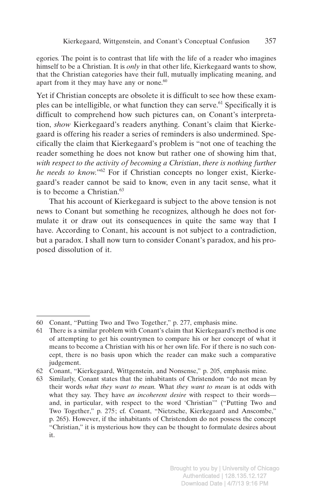egories. The point is to contrast that life with the life of a reader who imagines himself to be a Christian. It is *only* in that other life, Kierkegaard wants to show, that the Christian categories have their full, mutually implicating meaning, and apart from it they may have any or none.<sup>60</sup>

Yet if Christian concepts are obsolete it is difficult to see how these examples can be intelligible, or what function they can serve.<sup>61</sup> Specifically it is difficult to comprehend how such pictures can, on Conant's interpretation, show Kierkegaard's readers anything. Conant's claim that Kierkegaard is offering his reader a series of reminders is also undermined. Specifically the claim that Kierkegaard's problem is "not one of teaching the reader something he does not know but rather one of showing him that, with respect to the activity of becoming a Christian, there is nothing further he needs to know."<sup>62</sup> For if Christian concepts no longer exist, Kierkegaard's reader cannot be said to know, even in any tacit sense, what it is to become a Christian. $63$ 

That his account of Kierkegaard is subject to the above tension is not news to Conant but something he recognizes, although he does not formulate it or draw out its consequences in quite the same way that I have. According to Conant, his account is not subject to a contradiction, but a paradox. I shall now turn to consider Conant's paradox, and his proposed dissolution of it.

<sup>60</sup> Conant, "Putting Two and Two Together," p. 277, emphasis mine.

<sup>61</sup> There is a similar problem with Conant's claim that Kierkegaard's method is one of attempting to get his countrymen to compare his or her concept of what it means to become a Christian with his or her own life. For if there is no such concept, there is no basis upon which the reader can make such a comparative judgement.

<sup>62</sup> Conant, "Kierkegaard, Wittgenstein, and Nonsense," p. 205, emphasis mine.

<sup>63</sup> Similarly, Conant states that the inhabitants of Christendom "do not mean by their words what they want to mean. What they want to mean is at odds with what they say. They have an incoherent desire with respect to their words and, in particular, with respect to the word 'Christian'" ("Putting Two and Two Together," p. 275; cf. Conant, "Nietzsche, Kierkegaard and Anscombe," p. 265). However, if the inhabitants of Christendom do not possess the concept "Christian," it is mysterious how they can be thought to formulate desires about it.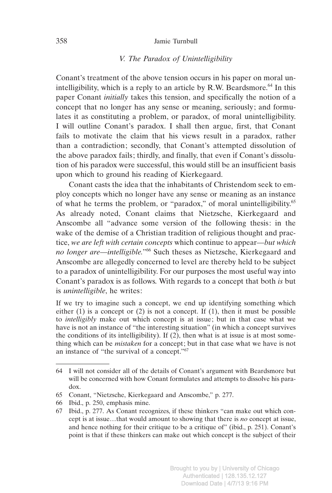#### 358 Jamie Turnbull

## V. The Paradox of Unintelligibility

Conant's treatment of the above tension occurs in his paper on moral unintelligibility, which is a reply to an article by R.W. Beardsmore.<sup> $64$ </sup> In this paper Conant initially takes this tension, and specifically the notion of a concept that no longer has any sense or meaning, seriously; and formulates it as constituting a problem, or paradox, of moral unintelligibility. I will outline Conant's paradox. I shall then argue, first, that Conant fails to motivate the claim that his views result in a paradox, rather than a contradiction; secondly, that Conant's attempted dissolution of the above paradox fails; thirdly, and finally, that even if Conant's dissolution of his paradox were successful, this would still be an insufficient basis upon which to ground his reading of Kierkegaard.

Conant casts the idea that the inhabitants of Christendom seek to employ concepts which no longer have any sense or meaning as an instance of what he terms the problem, or "paradox," of moral unintelligibility.<sup>65</sup> As already noted, Conant claims that Nietzsche, Kierkegaard and Anscombe all "advance some version of the following thesis: in the wake of the demise of a Christian tradition of religious thought and practice, we are left with certain concepts which continue to appear—but which no longer are—intelligible."<sup>66</sup> Such theses as Nietzsche, Kierkegaard and Anscombe are allegedly concerned to level are thereby held to be subject to a paradox of unintelligibility. For our purposes the most useful way into Conant's paradox is as follows. With regards to a concept that both is but is unintelligible, he writes:

If we try to imagine such a concept, we end up identifying something which either  $(1)$  is a concept or  $(2)$  is not a concept. If  $(1)$ , then it must be possible to intelligibly make out which concept is at issue; but in that case what we have is not an instance of "the interesting situation" (in which a concept survives the conditions of its intelligibility). If (2), then what is at issue is at most something which can be *mistaken* for a concept; but in that case what we have is not an instance of "the survival of a concept."67

<sup>64</sup> I will not consider all of the details of Conant's argument with Beardsmore but will be concerned with how Conant formulates and attempts to dissolve his paradox.

<sup>65</sup> Conant, "Nietzsche, Kierkegaard and Anscombe," p. 277.

<sup>66</sup> Ibid., p. 250, emphasis mine.

<sup>67</sup> Ibid., p. 277. As Conant recognizes, if these thinkers "can make out which concept is at issue...that would amount to showing that there is no concept at issue, and hence nothing for their critique to be a critique of" (ibid., p. 251). Conant's point is that if these thinkers can make out which concept is the subject of their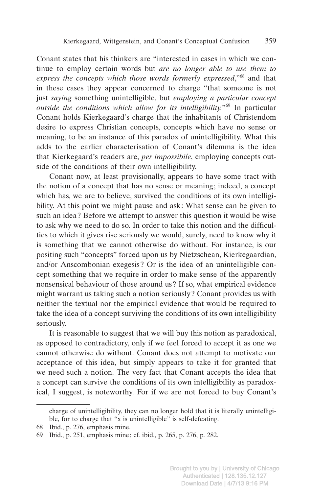Conant states that his thinkers are "interested in cases in which we continue to employ certain words but are no longer able to use them to express the concepts which those words formerly expressed,"<sup>68</sup> and that in these cases they appear concerned to charge "that someone is not just *saying* something unintelligible, but *employing a particular concept* outside the conditions which allow for its intelligibility."<sup>69</sup> In particular Conant holds Kierkegaard's charge that the inhabitants of Christendom desire to express Christian concepts, concepts which have no sense or meaning, to be an instance of this paradox of unintelligibility. What this adds to the earlier characterisation of Conant's dilemma is the idea that Kierkegaard's readers are, *per impossibile*, employing concepts outside of the conditions of their own intelligibility.

Conant now, at least provisionally, appears to have some tract with the notion of a concept that has no sense or meaning; indeed, a concept which has, we are to believe, survived the conditions of its own intelligibility. At this point we might pause and ask: What sense can be given to such an idea? Before we attempt to answer this question it would be wise to ask why we need to do so. In order to take this notion and the difficulties to which it gives rise seriously we would, surely, need to know why it is something that we cannot otherwise do without. For instance, is our positing such "concepts" forced upon us by Nietzschean, Kierkegaardian, and/or Anscombonian exegesis? Or is the idea of an unintelligible concept something that we require in order to make sense of the apparently nonsensical behaviour of those around us? If so, what empirical evidence might warrant us taking such a notion seriously? Conant provides us with neither the textual nor the empirical evidence that would be required to take the idea of a concept surviving the conditions of its own intelligibility seriously.

It is reasonable to suggest that we will buy this notion as paradoxical, as opposed to contradictory, only if we feel forced to accept it as one we cannot otherwise do without. Conant does not attempt to motivate our acceptance of this idea, but simply appears to take it for granted that we need such a notion. The very fact that Conant accepts the idea that a concept can survive the conditions of its own intelligibility as paradoxical, I suggest, is noteworthy. For if we are not forced to buy Conant's

charge of unintelligibility, they can no longer hold that it is literally unintelligible, for to charge that "x is unintelligible" is self-defeating.

<sup>68</sup> Ibid., p. 276, emphasis mine.

<sup>69</sup> Ibid., p. 251, emphasis mine; cf. ibid., p. 265, p. 276, p. 282.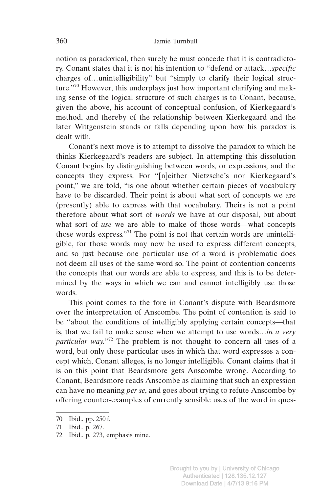notion as paradoxical, then surely he must concede that it is contradictory. Conant states that it is not his intention to "defend or attack…specific charges of…unintelligibility" but "simply to clarify their logical structure."<sup>70</sup> However, this underplays just how important clarifying and making sense of the logical structure of such charges is to Conant, because, given the above, his account of conceptual confusion, of Kierkegaard's method, and thereby of the relationship between Kierkegaard and the later Wittgenstein stands or falls depending upon how his paradox is dealt with.

Conant's next move is to attempt to dissolve the paradox to which he thinks Kierkegaard's readers are subject. In attempting this dissolution Conant begins by distinguishing between words, or expressions, and the concepts they express. For "[n]either Nietzsche's nor Kierkegaard's point," we are told, "is one about whether certain pieces of vocabulary have to be discarded. Their point is about what sort of concepts we are (presently) able to express with that vocabulary. Theirs is not a point therefore about what sort of words we have at our disposal, but about what sort of use we are able to make of those words—what concepts those words express."<sup>71</sup> The point is not that certain words are unintelligible, for those words may now be used to express different concepts, and so just because one particular use of a word is problematic does not deem all uses of the same word so. The point of contention concerns the concepts that our words are able to express, and this is to be determined by the ways in which we can and cannot intelligibly use those words.

This point comes to the fore in Conant's dispute with Beardsmore over the interpretation of Anscombe. The point of contention is said to be "about the conditions of intelligibly applying certain concepts—that is, that we fail to make sense when we attempt to use words…in a very particular way."<sup>72</sup> The problem is not thought to concern all uses of a word, but only those particular uses in which that word expresses a concept which, Conant alleges, is no longer intelligible. Conant claims that it is on this point that Beardsmore gets Anscombe wrong. According to Conant, Beardsmore reads Anscombe as claiming that such an expression can have no meaning per se, and goes about trying to refute Anscombe by offering counter-examples of currently sensible uses of the word in ques-

<sup>70</sup> Ibid., pp. 250 f.

<sup>71</sup> Ibid., p. 267.

<sup>72</sup> Ibid., p. 273, emphasis mine.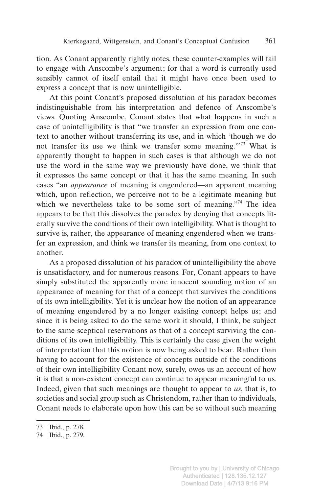tion. As Conant apparently rightly notes, these counter-examples will fail to engage with Anscombe's argument; for that a word is currently used sensibly cannot of itself entail that it might have once been used to express a concept that is now unintelligible.

At this point Conant's proposed dissolution of his paradox becomes indistinguishable from his interpretation and defence of Anscombe's views. Quoting Anscombe, Conant states that what happens in such a case of unintelligibility is that "we transfer an expression from one context to another without transferring its use, and in which "though we do not transfer its use we think we transfer some meaning."<sup>73</sup> What is apparently thought to happen in such cases is that although we do not use the word in the same way we previously have done, we think that it expresses the same concept or that it has the same meaning. In such cases "an appearance of meaning is engendered—an apparent meaning which, upon reflection, we perceive not to be a legitimate meaning but which we nevertheless take to be some sort of meaning."<sup>74</sup> The idea appears to be that this dissolves the paradox by denying that concepts literally survive the conditions of their own intelligibility. What is thought to survive is, rather, the appearance of meaning engendered when we transfer an expression, and think we transfer its meaning, from one context to another.

As a proposed dissolution of his paradox of unintelligibility the above is unsatisfactory, and for numerous reasons. For, Conant appears to have simply substituted the apparently more innocent sounding notion of an appearance of meaning for that of a concept that survives the conditions of its own intelligibility. Yet it is unclear how the notion of an appearance of meaning engendered by a no longer existing concept helps us; and since it is being asked to do the same work it should, I think, be subject to the same sceptical reservations as that of a concept surviving the conditions of its own intelligibility. This is certainly the case given the weight of interpretation that this notion is now being asked to bear. Rather than having to account for the existence of concepts outside of the conditions of their own intelligibility Conant now, surely, owes us an account of how it is that a non-existent concept can continue to appear meaningful to us. Indeed, given that such meanings are thought to appear to us, that is, to societies and social group such as Christendom, rather than to individuals, Conant needs to elaborate upon how this can be so without such meaning

<sup>73</sup> Ibid., p. 278.

<sup>74</sup> Ibid., p. 279.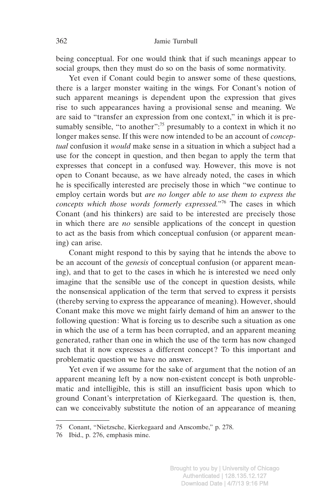being conceptual. For one would think that if such meanings appear to social groups, then they must do so on the basis of some normativity.

Yet even if Conant could begin to answer some of these questions, there is a larger monster waiting in the wings. For Conant's notion of such apparent meanings is dependent upon the expression that gives rise to such appearances having a provisional sense and meaning. We are said to "transfer an expression from one context," in which it is presumably sensible, "to another":<sup>75</sup> presumably to a context in which it no longer makes sense. If this were now intended to be an account of conceptual confusion it would make sense in a situation in which a subject had a use for the concept in question, and then began to apply the term that expresses that concept in a confused way. However, this move is not open to Conant because, as we have already noted, the cases in which he is specifically interested are precisely those in which "we continue to employ certain words but are no longer able to use them to express the concepts which those words formerly expressed."<sup>76</sup> The cases in which Conant (and his thinkers) are said to be interested are precisely those in which there are no sensible applications of the concept in question to act as the basis from which conceptual confusion (or apparent meaning) can arise.

Conant might respond to this by saying that he intends the above to be an account of the genesis of conceptual confusion (or apparent meaning), and that to get to the cases in which he is interested we need only imagine that the sensible use of the concept in question desists, while the nonsensical application of the term that served to express it persists (thereby serving to express the appearance of meaning). However, should Conant make this move we might fairly demand of him an answer to the following question: What is forcing us to describe such a situation as one in which the use of a term has been corrupted, and an apparent meaning generated, rather than one in which the use of the term has now changed such that it now expresses a different concept? To this important and problematic question we have no answer.

Yet even if we assume for the sake of argument that the notion of an apparent meaning left by a now non-existent concept is both unproblematic and intelligible, this is still an insufficient basis upon which to ground Conant's interpretation of Kierkegaard. The question is, then, can we conceivably substitute the notion of an appearance of meaning

<sup>75</sup> Conant, "Nietzsche, Kierkegaard and Anscombe," p. 278.

<sup>76</sup> Ibid., p. 276, emphasis mine.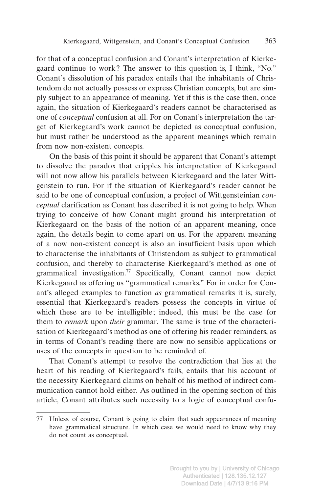for that of a conceptual confusion and Conant's interpretation of Kierkegaard continue to work? The answer to this question is, I think, "No." Conant's dissolution of his paradox entails that the inhabitants of Christendom do not actually possess or express Christian concepts, but are simply subject to an appearance of meaning. Yet if this is the case then, once again, the situation of Kierkegaard's readers cannot be characterised as one of *conceptual* confusion at all. For on Conant's interpretation the target of Kierkegaard's work cannot be depicted as conceptual confusion, but must rather be understood as the apparent meanings which remain from now non-existent concepts.

On the basis of this point it should be apparent that Conant's attempt to dissolve the paradox that cripples his interpretation of Kierkegaard will not now allow his parallels between Kierkegaard and the later Wittgenstein to run. For if the situation of Kierkegaard's reader cannot be said to be one of conceptual confusion, a project of Wittgensteinian conceptual clarification as Conant has described it is not going to help. When trying to conceive of how Conant might ground his interpretation of Kierkegaard on the basis of the notion of an apparent meaning, once again, the details begin to come apart on us. For the apparent meaning of a now non-existent concept is also an insufficient basis upon which to characterise the inhabitants of Christendom as subject to grammatical confusion, and thereby to characterise Kierkegaard's method as one of grammatical investigation.<sup>77</sup> Specifically, Conant cannot now depict Kierkegaard as offering us "grammatical remarks." For in order for Conant's alleged examples to function as grammatical remarks it is, surely, essential that Kierkegaard's readers possess the concepts in virtue of which these are to be intelligible; indeed, this must be the case for them to remark upon their grammar. The same is true of the characterisation of Kierkegaard's method as one of offering his reader reminders, as in terms of Conant's reading there are now no sensible applications or uses of the concepts in question to be reminded of.

That Conant's attempt to resolve the contradiction that lies at the heart of his reading of Kierkegaard's fails, entails that his account of the necessity Kierkegaard claims on behalf of his method of indirect communication cannot hold either. As outlined in the opening section of this article, Conant attributes such necessity to a logic of conceptual confu-

<sup>77</sup> Unless, of course, Conant is going to claim that such appearances of meaning have grammatical structure. In which case we would need to know why they do not count as conceptual.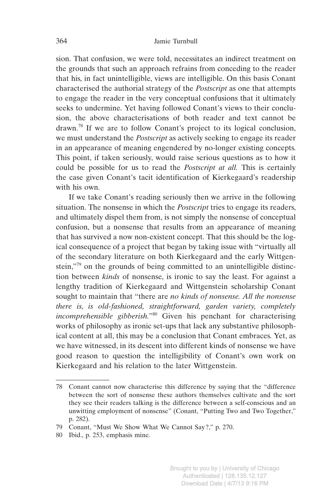sion. That confusion, we were told, necessitates an indirect treatment on the grounds that such an approach refrains from conceding to the reader that his, in fact unintelligible, views are intelligible. On this basis Conant characterised the authorial strategy of the Postscript as one that attempts to engage the reader in the very conceptual confusions that it ultimately seeks to undermine. Yet having followed Conant's views to their conclusion, the above characterisations of both reader and text cannot be drawn.<sup>78</sup> If we are to follow Conant's project to its logical conclusion, we must understand the Postscript as actively seeking to engage its reader in an appearance of meaning engendered by no-longer existing concepts. This point, if taken seriously, would raise serious questions as to how it could be possible for us to read the Postscript at all. This is certainly the case given Conant's tacit identification of Kierkegaard's readership with his own.

If we take Conant's reading seriously then we arrive in the following situation. The nonsense in which the *Postscript* tries to engage its readers, and ultimately dispel them from, is not simply the nonsense of conceptual confusion, but a nonsense that results from an appearance of meaning that has survived a now non-existent concept. That this should be the logical consequence of a project that began by taking issue with "virtually all of the secondary literature on both Kierkegaard and the early Wittgenstein,"<sup>79</sup> on the grounds of being committed to an unintelligible distinction between kinds of nonsense, is ironic to say the least. For against a lengthy tradition of Kierkegaard and Wittgenstein scholarship Conant sought to maintain that "there are no kinds of nonsense. All the nonsense there is, is old-fashioned, straightforward, garden variety, completely incomprehensible gibberish."<sup>80</sup> Given his penchant for characterising works of philosophy as ironic set-ups that lack any substantive philosophical content at all, this may be a conclusion that Conant embraces. Yet, as we have witnessed, in its descent into different kinds of nonsense we have good reason to question the intelligibility of Conant's own work on Kierkegaard and his relation to the later Wittgenstein.

<sup>78</sup> Conant cannot now characterise this difference by saying that the "difference between the sort of nonsense these authors themselves cultivate and the sort they see their readers talking is the difference between a self-conscious and an unwitting employment of nonsense" (Conant, "Putting Two and Two Together," p. 282).

<sup>79</sup> Conant, "Must We Show What We Cannot Say?," p. 270.

<sup>80</sup> Ibid., p. 253, emphasis mine.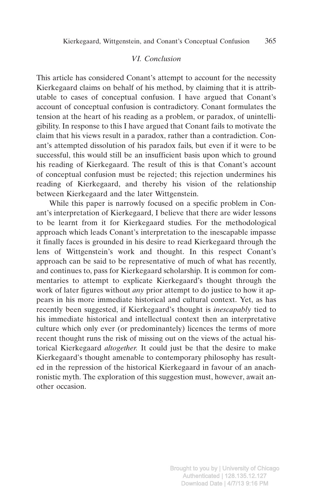## VI. Conclusion

This article has considered Conant's attempt to account for the necessity Kierkegaard claims on behalf of his method, by claiming that it is attributable to cases of conceptual confusion. I have argued that Conant's account of conceptual confusion is contradictory. Conant formulates the tension at the heart of his reading as a problem, or paradox, of unintelligibility. In response to this I have argued that Conant fails to motivate the claim that his views result in a paradox, rather than a contradiction. Conant's attempted dissolution of his paradox fails, but even if it were to be successful, this would still be an insufficient basis upon which to ground his reading of Kierkegaard. The result of this is that Conant's account of conceptual confusion must be rejected; this rejection undermines his reading of Kierkegaard, and thereby his vision of the relationship between Kierkegaard and the later Wittgenstein.

While this paper is narrowly focused on a specific problem in Conant's interpretation of Kierkegaard, I believe that there are wider lessons to be learnt from it for Kierkegaard studies. For the methodological approach which leads Conant's interpretation to the inescapable impasse it finally faces is grounded in his desire to read Kierkegaard through the lens of Wittgenstein's work and thought. In this respect Conant's approach can be said to be representative of much of what has recently, and continues to, pass for Kierkegaard scholarship. It is common for commentaries to attempt to explicate Kierkegaard's thought through the work of later figures without *any* prior attempt to do justice to how it appears in his more immediate historical and cultural context. Yet, as has recently been suggested, if Kierkegaard's thought is *inescapably* tied to his immediate historical and intellectual context then an interpretative culture which only ever (or predominantely) licences the terms of more recent thought runs the risk of missing out on the views of the actual historical Kierkegaard altogether. It could just be that the desire to make Kierkegaard's thought amenable to contemporary philosophy has resulted in the repression of the historical Kierkegaard in favour of an anachronistic myth. The exploration of this suggestion must, however, await another occasion.